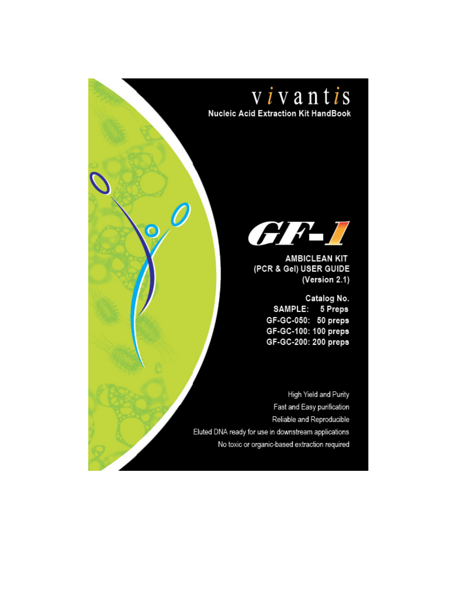

**Nucleic Acid Extraction Kit HandBook** 

 $\circ$ 



**AMBICLEAN KIT** (PCR & Gel) USER GUIDE (Version 2.1)

> Catalog No. SAMPLE: 5 Preps GF-GC-050: 50 preps GF-GC-100: 100 preps GF-GC-200: 200 preps

High Yield and Purity Fast and Easy purification Reliable and Reproducible Eluted DNA ready for use in downstream applications No toxic or organic-based extraction required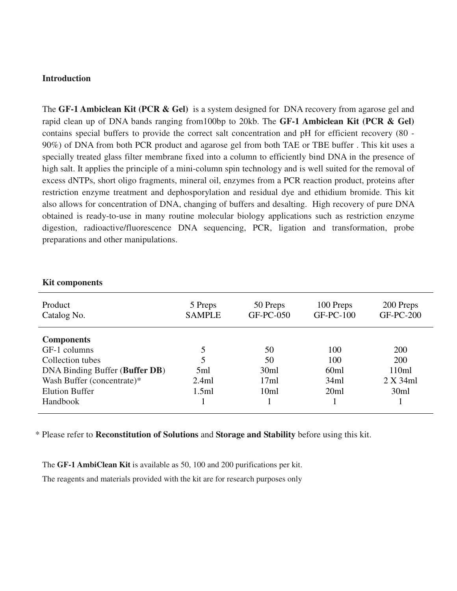#### **Introduction**

The **GF-1 Ambiclean Kit (PCR & Gel)** is a system designed for DNA recovery from agarose gel and rapid clean up of DNA bands ranging from100bp to 20kb. The **GF-1 Ambiclean Kit (PCR & Gel)**  contains special buffers to provide the correct salt concentration and pH for efficient recovery (80 - 90%) of DNA from both PCR product and agarose gel from both TAE or TBE buffer . This kit uses a specially treated glass filter membrane fixed into a column to efficiently bind DNA in the presence of high salt. It applies the principle of a mini-column spin technology and is well suited for the removal of excess dNTPs, short oligo fragments, mineral oil, enzymes from a PCR reaction product, proteins after restriction enzyme treatment and dephosporylation and residual dye and ethidium bromide. This kit also allows for concentration of DNA, changing of buffers and desalting. High recovery of pure DNA obtained is ready-to-use in many routine molecular biology applications such as restriction enzyme digestion, radioactive/fluorescence DNA sequencing, PCR, ligation and transformation, probe preparations and other manipulations.

| Product<br>Catalog No.                                                                                                                         | 5 Preps<br><b>SAMPLE</b>   | 50 Preps<br>GF-PC-050            | 100 Preps<br>$GF-PC-100$                       | 200 Preps<br><b>GF-PC-200</b>           |
|------------------------------------------------------------------------------------------------------------------------------------------------|----------------------------|----------------------------------|------------------------------------------------|-----------------------------------------|
| <b>Components</b><br>GF-1 columns<br>Collection tubes<br>DNA Binding Buffer (Buffer DB)<br>Wash Buffer (concentrate)*<br><b>Elution Buffer</b> | 5<br>5ml<br>2.4ml<br>1.5ml | 50<br>50<br>30ml<br>17ml<br>10ml | 100<br>100<br>60 <sub>ml</sub><br>34ml<br>20ml | 200<br>200<br>110ml<br>2 X 34ml<br>30ml |
| <b>Handbook</b>                                                                                                                                |                            |                                  |                                                |                                         |

#### **Kit components**

\* Please refer to **Reconstitution of Solutions** and **Storage and Stability** before using this kit.

The **GF-1 AmbiClean Kit** is available as 50, 100 and 200 purifications per kit.

The reagents and materials provided with the kit are for research purposes only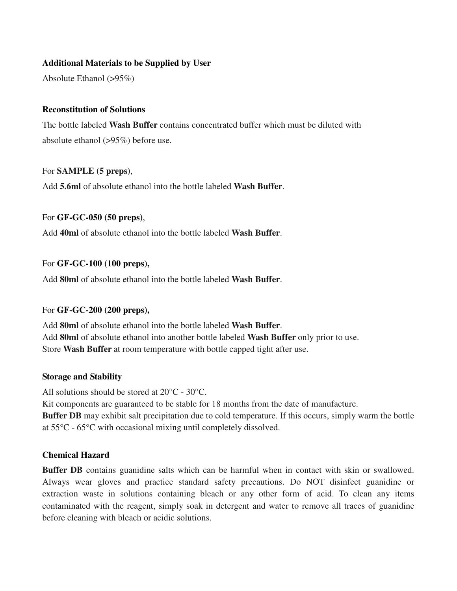### **Additional Materials to be Supplied by User**

Absolute Ethanol (>95%)

#### **Reconstitution of Solutions**

The bottle labeled **Wash Buffer** contains concentrated buffer which must be diluted with absolute ethanol (>95%) before use.

#### For **SAMPLE (5 preps)**,

Add **5.6ml** of absolute ethanol into the bottle labeled **Wash Buffer**.

### For **GF-GC-050 (50 preps)**,

Add **40ml** of absolute ethanol into the bottle labeled **Wash Buffer**.

#### For **GF-GC-100 (100 preps),**

Add **80ml** of absolute ethanol into the bottle labeled **Wash Buffer**.

#### For **GF-GC-200 (200 preps),**

Add **80ml** of absolute ethanol into the bottle labeled **Wash Buffer**. Add **80ml** of absolute ethanol into another bottle labeled **Wash Buffer** only prior to use. Store **Wash Buffer** at room temperature with bottle capped tight after use.

#### **Storage and Stability**

All solutions should be stored at 20°C - 30°C.

Kit components are guaranteed to be stable for 18 months from the date of manufacture.

**Buffer DB** may exhibit salt precipitation due to cold temperature. If this occurs, simply warm the bottle at 55°C - 65°C with occasional mixing until completely dissolved.

### **Chemical Hazard**

**Buffer DB** contains guanidine salts which can be harmful when in contact with skin or swallowed. Always wear gloves and practice standard safety precautions. Do NOT disinfect guanidine or extraction waste in solutions containing bleach or any other form of acid. To clean any items contaminated with the reagent, simply soak in detergent and water to remove all traces of guanidine before cleaning with bleach or acidic solutions.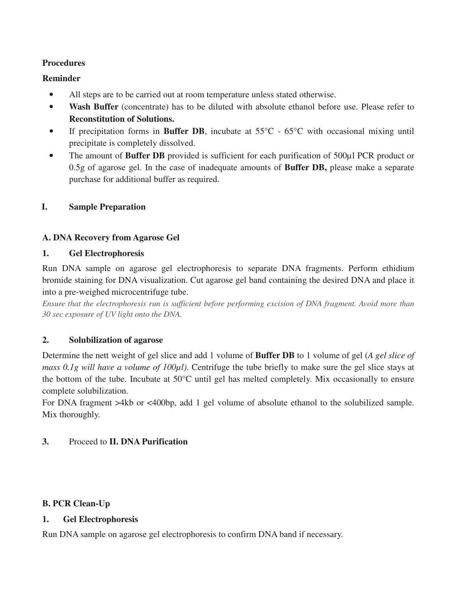## **Procedures**

## **Reminder**

- All steps are to be carried out at room temperature unless stated otherwise.
- Wash Buffer (concentrate) has to be diluted with absolute ethanol before use. Please refer to **Reconstitution of Solutions.**
- If precipitation forms in **Buffer DB**, incubate at 55°C 65°C with occasional mixing until precipitate is completely dissolved.
- The amount of **Buffer DB** provided is sufficient for each purification of 500 $\mu$ l PCR product or 0.5g of agarose gel. In the case of inadequate amounts of **Buffer DB,** please make a separate purchase for additional buffer as required.

## **I. Sample Preparation**

## **A. DNA Recovery from Agarose Gel**

### **1. Gel Electrophoresis**

Run DNA sample on agarose gel electrophoresis to separate DNA fragments. Perform ethidium bromide staining for DNA visualization. Cut agarose gel band containing the desired DNA and place it into a pre-weighed microcentrifuge tube.

*Ensure that the electrophoresis run is sufficient before performing excision of DNA fragment. Avoid more than 30 sec exposure of UV light onto the DNA.* 

## **2. Solubilization of agarose**

Determine the nett weight of gel slice and add 1 volume of **Buffer DB** to 1 volume of gel (*A gel slice of mass 0.1g will have a volume of 100µl)*. Centrifuge the tube briefly to make sure the gel slice stays at the bottom of the tube. Incubate at 50°C until gel has melted completely. Mix occasionally to ensure complete solubilization.

For DNA fragment >4kb or <400bp, add 1 gel volume of absolute ethanol to the solubilized sample. Mix thoroughly.

### **3.** Proceed to **II. DNA Purification**

### **B. PCR Clean-Up**

### **1. Gel Electrophoresis**

Run DNA sample on agarose gel electrophoresis to confirm DNA band if necessary.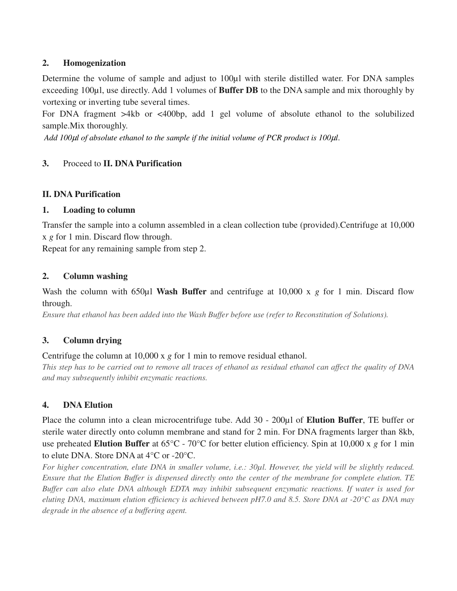## **2. Homogenization**

Determine the volume of sample and adjust to 100µl with sterile distilled water. For DNA samples exceeding 100µl, use directly. Add 1 volumes of **Buffer DB** to the DNA sample and mix thoroughly by vortexing or inverting tube several times.

For DNA fragment >4kb or <400bp, add 1 gel volume of absolute ethanol to the solubilized sample.Mix thoroughly.

*Add 100*µ*l of absolute ethanol to the sample if the initial volume of PCR product is 100*µ*l*.

## **3.** Proceed to **II. DNA Purification**

## **II. DNA Purification**

## **1. Loading to column**

Transfer the sample into a column assembled in a clean collection tube (provided).Centrifuge at 10,000 x *g* for 1 min. Discard flow through.

Repeat for any remaining sample from step 2.

## **2. Column washing**

Wash the column with 650 $\mu$ l Wash Buffer and centrifuge at 10,000 x g for 1 min. Discard flow through.

*Ensure that ethanol has been added into the Wash Buffer before use (refer to Reconstitution of Solutions).* 

## **3. Column drying**

## Centrifuge the column at 10,000 x *g* for 1 min to remove residual ethanol.

*This step has to be carried out to remove all traces of ethanol as residual ethanol can affect the quality of DNA and may subsequently inhibit enzymatic reactions.* 

## **4. DNA Elution**

Place the column into a clean microcentrifuge tube. Add 30 - 200µl of **Elution Buffer**, TE buffer or sterile water directly onto column membrane and stand for 2 min. For DNA fragments larger than 8kb, use preheated **Elution Buffer** at 65°C - 70°C for better elution efficiency. Spin at 10,000 x *g* for 1 min to elute DNA. Store DNA at 4°C or -20°C.

*For higher concentration, elute DNA in smaller volume, i.e.: 30µl. However, the yield will be slightly reduced. Ensure that the Elution Buffer is dispensed directly onto the center of the membrane for complete elution. TE Buffer can also elute DNA although EDTA may inhibit subsequent enzymatic reactions. If water is used for eluting DNA, maximum elution efficiency is achieved between pH7.0 and 8.5. Store DNA at -20°C as DNA may degrade in the absence of a buffering agent.*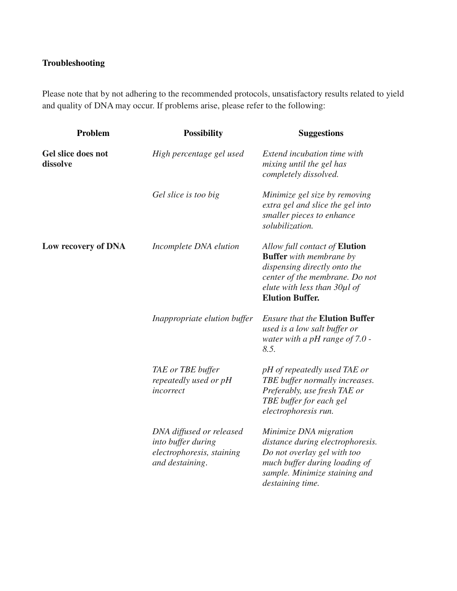# **Troubleshooting**

Please note that by not adhering to the recommended protocols, unsatisfactory results related to yield and quality of DNA may occur. If problems arise, please refer to the following:

| Problem                        | <b>Possibility</b>                                                                             | <b>Suggestions</b>                                                                                                                                                                                 |
|--------------------------------|------------------------------------------------------------------------------------------------|----------------------------------------------------------------------------------------------------------------------------------------------------------------------------------------------------|
| Gel slice does not<br>dissolve | High percentage gel used                                                                       | Extend incubation time with<br>mixing until the gel has<br>completely dissolved.                                                                                                                   |
|                                | Gel slice is too big                                                                           | Minimize gel size by removing<br>extra gel and slice the gel into<br>smaller pieces to enhance<br>solubilization.                                                                                  |
| Low recovery of DNA            | Incomplete DNA elution                                                                         | Allow full contact of <b>Elution</b><br><b>Buffer</b> with membrane by<br>dispensing directly onto the<br>center of the membrane. Do not<br>elute with less than 30µl of<br><b>Elution Buffer.</b> |
|                                | Inappropriate elution buffer                                                                   | <b>Ensure that the Elution Buffer</b><br>used is a low salt buffer or<br>water with a pH range of $7.0$ -<br>8.5.                                                                                  |
|                                | TAE or TBE buffer<br>repeatedly used or pH<br>incorrect                                        | pH of repeatedly used TAE or<br>TBE buffer normally increases.<br>Preferably, use fresh TAE or<br>TBE buffer for each gel<br>electrophoresis run.                                                  |
|                                | DNA diffused or released<br>into buffer during<br>electrophoresis, staining<br>and destaining. | Minimize DNA migration<br>distance during electrophoresis.<br>Do not overlay gel with too<br>much buffer during loading of<br>sample. Minimize staining and<br>destaining time.                    |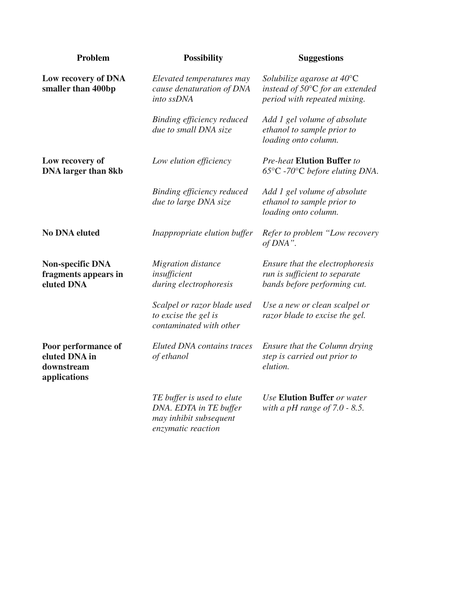| Problem                                                            | <b>Possibility</b>                                                                                   | <b>Suggestions</b>                                                                                                |
|--------------------------------------------------------------------|------------------------------------------------------------------------------------------------------|-------------------------------------------------------------------------------------------------------------------|
| Low recovery of DNA<br>smaller than 400bp                          | Elevated temperatures may<br>cause denaturation of DNA<br>into ssDNA                                 | Solubilize agarose at $40^{\circ}$ C<br>instead of $50^{\circ}$ C for an extended<br>period with repeated mixing. |
|                                                                    | Binding efficiency reduced<br>due to small DNA size                                                  | Add 1 gel volume of absolute<br>ethanol to sample prior to<br>loading onto column.                                |
| Low recovery of<br><b>DNA</b> larger than 8kb                      | Low elution efficiency                                                                               | <b>Pre-heat Elution Buffer to</b><br>$65^{\circ}$ C -70 $^{\circ}$ C before eluting DNA.                          |
|                                                                    | Binding efficiency reduced<br>due to large DNA size                                                  | Add 1 gel volume of absolute<br>ethanol to sample prior to<br>loading onto column.                                |
| <b>No DNA eluted</b>                                               | Inappropriate elution buffer                                                                         | Refer to problem "Low recovery<br>of DNA".                                                                        |
| <b>Non-specific DNA</b><br>fragments appears in<br>eluted DNA      | <b>Migration</b> distance<br>insufficient<br>during electrophoresis                                  | Ensure that the electrophoresis<br>run is sufficient to separate<br>bands before performing cut.                  |
|                                                                    | Scalpel or razor blade used<br>to excise the gel is<br>contaminated with other                       | Use a new or clean scalpel or<br>razor blade to excise the gel.                                                   |
| Poor performance of<br>eluted DNA in<br>downstream<br>applications | <b>Eluted DNA</b> contains traces<br>of ethanol                                                      | Ensure that the Column drying<br>step is carried out prior to<br>elution.                                         |
|                                                                    | TE buffer is used to elute<br>DNA. EDTA in TE buffer<br>may inhibit subsequent<br>enzymatic reaction | <b>Use Elution Buffer or water</b><br>with a pH range of $7.0 - 8.5$ .                                            |